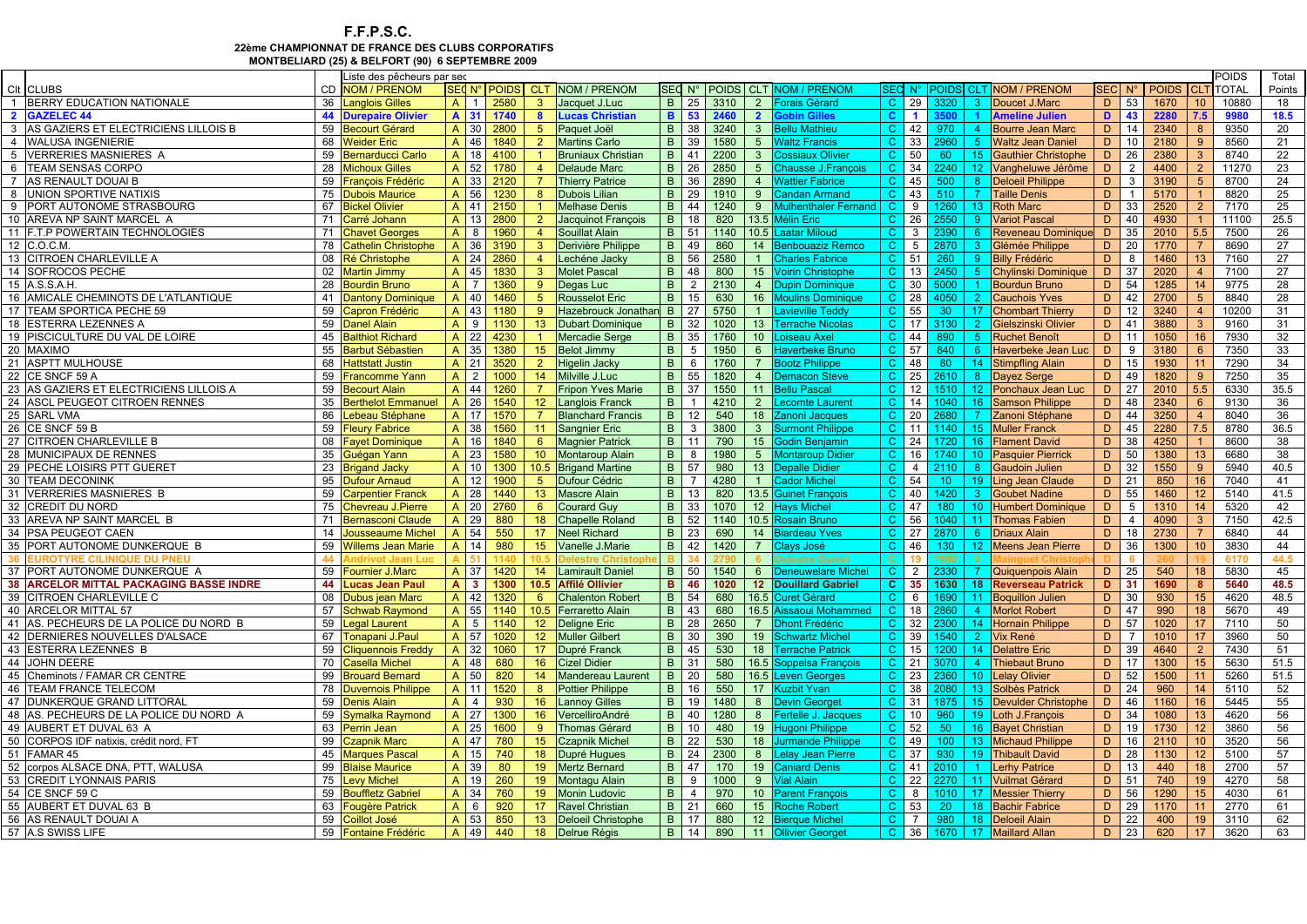## F.F.P.S.C. 22ème CHAMPIONNAT DE FRANCE DES CLUBS CORPORATIFSMONTBELIARD (25) & BELFORT (90) 6 SEPTEMBRE 2009

|    |                                                |          | Liste des pêcheurs par sec         |                                    |              |                            |                                                  |                   |                                |                  |                                   |                                        |                              |                      |                  |                      |                                          |         |                 |                      |                       | <b>POIDS</b> | Total      |
|----|------------------------------------------------|----------|------------------------------------|------------------------------------|--------------|----------------------------|--------------------------------------------------|-------------------|--------------------------------|------------------|-----------------------------------|----------------------------------------|------------------------------|----------------------|------------------|----------------------|------------------------------------------|---------|-----------------|----------------------|-----------------------|--------------|------------|
|    | CIt CLUBS                                      | CD       | <b>NOM / PRENOM</b>                |                                    |              |                            | SECN <sup>°</sup> POIDS CLT NOM / PRENOM         |                   |                                |                  |                                   | SEC N° POIDS CLT NOM / PRENOM          |                              |                      |                  |                      | <b>EQ N° POIDS CLT NOM / PRENOM</b>      |         |                 | SECI N° I POIDS ICLT |                       | <b>TOTAL</b> | Points     |
|    | 1 BERRY EDUCATION NATIONALE                    |          | 36 Langlois Gilles                 | $A$ 1                              | 2580         | 3 <sup>1</sup>             | Jacquet J.Luc                                    |                   |                                | B 25 3310        | $\overline{2}$                    | <b>Forais Gérard</b>                   | $\mathbf{C}$                 | 29                   | 3320             | - 3 -                | Doucet J.Marc                            | D       | 53              | 1670                 | 10 <sup>°</sup>       | 10880        | 18         |
|    | 2 GAZELEC 44                                   |          | <b>44 Durepaire Olivier</b>        | A 31                               | 1740         | $\mathbf{8}$               | <b>Lucas Christian</b>                           |                   |                                | <b>B</b> 53 2460 | $\overline{2}$                    | obin Gilles                            | $\mathbf{C}$                 | $\blacktriangleleft$ |                  | $\blacktriangleleft$ | <b>Ameline Julien</b>                    | D.      | 43              | 2280                 | 7.5                   | 9980         | 18.5       |
|    | 3 AS GAZIERS ET ELECTRICIENS LILLOIS B         |          | 59 Becourt Gérard                  | A 30                               | 2800         | 5 <sup>5</sup>             | Paquet Joël                                      |                   |                                | B 38 3240        | 3 <sup>1</sup>                    | <b>Bellu Mathieu</b>                   | $\mathbf{C}$                 | 42                   | 970              |                      | 4 Bourre Jean Marc                       | D       | 14              | 2340                 |                       | 9350         | 20         |
|    | 4 WALUSA INGENIERIE                            |          | 68 Weider Eric                     | A 46                               | 1840         | $\overline{2}$             | <b>Martins Carlo</b>                             |                   |                                | B 39 1580        | 5 <sup>5</sup>                    | <b>Waltz Francis</b>                   |                              | $C$ 33               | 2960             |                      | 5 Waltz Jean Daniel                      | D       | 10              | 2180                 | $9^{\circ}$           | 8560         | 21         |
|    | 5 VERRERIES MASNIERES A                        |          | 59 Bernarducci Carlo               | A 18 4100                          |              | $\overline{1}$             | <b>Bruniaux Christian</b>                        |                   |                                | B 41 2200        | $\mathbf{3}$                      | <b>Cossiaux Olivier</b>                | $\mathbf{C}$                 | 50                   | 60               |                      | 15 Gauthier Christophe                   | D.      | 26              | 2380                 | 3 <sup>1</sup>        | 8740         | 22         |
|    | 6 TEAM SENSAS CORPO                            |          | 28 Michoux Gilles                  | A 52                               | 1780         | $\overline{4}$             | <b>Delaude Marc</b>                              |                   | <b>B</b> 26                    | 2850             | 5 <sup>5</sup>                    | <b>Chausse J.Francois</b>              | C                            | 34                   | 2240             |                      | 12 Vangheluwe Jérôme                     | D       | 2               | 4400                 | $\overline{2}$        | 11270        | 23         |
|    | 7 AS RENAULT DOUAI B                           |          | 59 François Frédéric               | A 33                               | 2120         |                            | <b>Thierry Patrice</b>                           |                   |                                | B 36 2890        | $\overline{4}$                    | <b>Wattier Fabrice</b>                 | $\mathbf{C}$                 | 45                   | 500              |                      | 8 Deloeil Philippe                       | D       | $\mathbf{3}$    | 3190                 | 5 <sup>5</sup>        | 8700         | 24         |
|    | 8 UNION SPORTIVE NATIXIS                       |          | 75 Dubois Maurice                  | A 56                               | 1230         | 8                          | Dubois Lilian                                    |                   | <b>B</b> 29                    | 1910             | -9                                | <b>Candan Armand</b>                   |                              | C 43                 | 510              | $\overline{7}$       | <b>Taille Denis</b>                      | D       | $\overline{1}$  | 5170                 |                       | 8820         | 25         |
|    | 9 PORT AUTONOME STRASBOURG                     |          | 67 Bickel Olivier                  | A 41                               | 2150         | $\overline{1}$             | <b>Melhase Denis</b>                             |                   |                                | B 44 1240        |                                   | 9 Mulhenthaler Fernand                 | $\mathbf{C}$                 | 9                    | 1260             |                      | 13 Roth Marc                             | D.      | 33              | 2520                 | 2 <sup>2</sup>        | 7170         | 25         |
|    | 10 AREVA NP SAINT MARCEL A                     |          | 71 Carré Johann                    | A 13                               | 2800         | $\overline{2}$             | Jacquinot François                               |                   | <b>B</b> 18                    | 820              |                                   | 13.5 Mélin Eric                        |                              | $C$ 26               | 2550             |                      | 9 Variot Pascal                          | D       | 40              | 4930                 |                       | 11100        | 25.5       |
|    | 11 F.T.P POWERTAIN TECHNOLOGIES                |          | 71 Chavet Georges                  | $A \mid 8$                         | 1960         | $\overline{4}$             | Souillat Alain                                   |                   |                                | B 51 1140        |                                   | 10.5 Laatar Miloud                     | $\mathbf{C}$                 | $3^{\circ}$          | 2390             |                      | 6 Reveneau Dominique                     | D       | 35              | 2010                 | 5.5                   | 7500         | 26         |
|    | 12 C.O.C.M                                     |          | 78 Cathelin Christophe             | A 36                               | 3190         | 3 <sup>1</sup>             | Derivière Philippe                               |                   | <b>B</b> 49                    | 860              | 14                                | <b>Benbouaziz Remco</b>                |                              | $C$ 5                | 2870             | 3 <sup>1</sup>       | Glémée Philippe                          | D       | 20              | 1770                 |                       | 8690         | 27         |
|    | 13 CITROEN CHARLEVILLE A                       |          | 08 Ré Christophe                   | A 24                               | 2860         | $\overline{4}$             | Lechéne Jacky                                    | $\vert$ B         | 56                             | 2580             | $\sim$ 1                          | <b>Charles Fabrice</b>                 |                              | $C$ 51               | 260              |                      | 9 Billy Frédéric                         | D       | 8               | 1460                 | 13                    | 7160         | 27         |
|    | 14 SOFROCOS PECHE                              | 02       | <b>Martin Jimmy</b>                | A 45                               | 1830         | 3 <sup>1</sup>             | <b>Molet Pascal</b>                              |                   | <b>B</b> 48                    | 800              | 15                                | <b>Voirin Christophe</b>               |                              | $C$ 13               | 2450             |                      | 5 Chylinski Dominique                    | D       | 37              | 2020                 | $\overline{4}$        | 7100         | 27         |
|    | 15 A.S.S.A.H.                                  |          | 28 Bourdin Bruno                   | A 7                                | 1360         | -9                         | Degas Luc                                        |                   | $B$   2                        | 2130             | $\sim$ 4                          | <b>Dupin Dominique</b>                 |                              | $C$ 30               | 5000             | $\sim$               | Bourdun Bruno                            | D       | 54              | 1285                 | 14                    | 9775         | 28         |
|    | 16 AMICALE CHEMINOTS DE L'ATLANTIQUE           |          | 41 Dantony Dominique               | A 40                               | 1460         | 5 <sup>5</sup>             | <b>Rousselot Eric</b>                            |                   | <b>B</b> 15                    | 630              | 16                                | <b>Moulins Dominique</b>               | $\mathsf{C}$                 | 28                   | 4050             | $\overline{2}$       | <b>Cauchois Yves</b>                     | D       | 42              | 2700                 | 5 <sup>5</sup>        | 8840         | 28         |
|    | 17 TEAM SPORTICA PECHE 59                      |          | 59 Capron Frédéric                 | $A$ 43                             | 1180         | -9                         | Hazebrouck Jonathan                              |                   | B 27                           | 5750             | 1 <sup>1</sup>                    | Lavieville Teddy                       |                              | $C$ 55               | 30 <sup>°</sup>  |                      | 17 Chombart Thierry                      | D.      | 12              | 3240                 | $\overline{4}$        | 10200        | 31         |
|    | 18 ESTERRA LEZENNES A                          |          | 59 Danel Alain                     | A 9                                | 1130         | 13                         | Dubart Dominique                                 |                   | <b>B</b> 32                    | 1020             | 13                                | <b>Terrache Nicolas</b>                |                              | C 17                 | 3130             |                      | 2 Gielszinski Olivier                    | D.      | 41              | 3880                 |                       | 9160         | 31         |
|    |                                                |          |                                    |                                    |              |                            |                                                  |                   |                                |                  |                                   |                                        |                              |                      |                  |                      |                                          |         |                 |                      |                       |              |            |
|    | 19 PISCICULTURE DU VAL DE LOIRE<br>20 MAXIMO   |          | 45 Balthiot Richard                | 22<br>$\mathsf{A}$<br>$\mathsf{A}$ | 4230         | $\blacktriangleleft$<br>15 | Mercadie Serge                                   | $\vert$ B         | <b>B</b> 35<br>$5\overline{5}$ | 1760             | 10 <sup>1</sup><br>6 <sup>1</sup> | Loiseau Axel<br><b>Haverbeke Bruno</b> | $\mathbf{C}$<br>$\mathsf{C}$ | 44<br>57             | 890              |                      | 5 Ruchet Benoît<br>6 Haverbeke Jean Luc  | D<br>D  | 11<br>9         | 1050<br>3180         | 16<br>6               | 7930<br>7350 | 32<br>33   |
|    |                                                |          | 55 Barbut Sébastien                | 35                                 | 1380         |                            | <b>Belot Jimmy</b>                               |                   |                                | 1950             |                                   |                                        |                              |                      | 840              |                      |                                          |         | 15              |                      |                       |              |            |
|    | 21 ASPTT MULHOUSE                              |          | 68 Hattstatt Justin                | $A$ 21                             | 3520         | $\overline{2}$             | <b>Higelin Jacky</b>                             | B                 | 6                              | 1760             | 7 <sup>1</sup>                    | <b>Bootz Philippe</b>                  | $\mathbf{C}$                 | 48                   | 80               |                      | 14 Stimpfling Alain                      | D       |                 | 1930                 | 11                    | 7290         | 34         |
|    | 22 CE SNCF 59 A                                | 59       | <b>Francomme Yann</b>              | $\overline{2}$<br>$\mathsf{A}$     | 1000         | 14                         | Milville J.Luc                                   |                   | <b>B</b> 55                    | 1820             | 4 <sup>1</sup>                    | <b>Demacon Steve</b>                   | $\mathbf{C}$                 | 25                   | 2610             |                      | 8 Dayez Serge                            | D.      | 49              | 1820                 | 9                     | 7250         | 35         |
|    | 23 AS GAZIERS ET ELECTRICIENS LILLOIS A        | 59       | <b>Becourt Alain</b>               | $A$ 44                             | 1260         | $\overline{7}$             | <b>Fripon Yves Marie</b>                         |                   | <b>B</b> 37                    | 1550             | 11                                | <b>Bellu Pascal</b>                    | $\mathsf{C}$                 | 12                   | 1510             |                      | 12 Ponchaux Jean Luc                     | D       | 27              | 2010                 | 5.5                   | 6330         | 35.5       |
|    | 24 ASCL PEUGEOT CITROEN RENNES                 |          | 35 Berthelot Emmanuel              | A 26<br>A 17                       | 1540         | 12                         | <b>Langlois Franck</b>                           | B                 | $\mathbf{1}$<br>$B$ 12         | 4210             | 2 <sup>1</sup>                    | <b>Lecomte Laurent</b>                 | $\mathbf{C}$                 | 14                   | 1040             |                      | 16 Samson Philippe                       | D.<br>D | 48<br>44        | 2340                 | $6^{\circ}$           | 9130         | 36         |
|    | 25 SARL VMA<br>26 CE SNCF 59 B                 | 86<br>59 | Lebeau Stéphane                    | A 38                               | 1570         | $\overline{7}$             | <b>Blanchard Francis</b>                         | B                 |                                | 540              | 18                                | Zanoni Jacques                         | $\mathbf{C}$                 | $C$ 20               | 2680             | -7.                  | Zanoni Stéphane                          | D       | 45              | 3250<br>2280         | $\overline{4}$<br>7.5 | 8040<br>8780 | 36<br>36.5 |
|    | 27 CITROEN CHARLEVILLE B                       |          | <b>Fleury Fabrice</b>              | A 16                               | 1560         | 11                         | Sangnier Eric                                    |                   | $\mathbf{3}$<br><b>B</b> 11    | 3800<br>790      | 3 <sup>1</sup><br>15              | <b>Surmont Philippe</b>                |                              | 11<br>$C$ 24         | 1140             |                      | 15 Muller Franck                         | D       | 38              | 4250                 |                       | 8600         |            |
|    | 28 MUNICIPAUX DE RENNES                        |          | 08 <b>Fayet Dominique</b>          | A 23                               | 1840<br>1580 | 6<br>10 <sup>°</sup>       | <b>Magnier Patrick</b><br><b>Montaroup Alain</b> | B                 | 8                              | 1980             |                                   | Godin Beniamin<br>5 Montaroup Didier   | $\mathbf{C}$                 | 16                   | 1720<br>1740     |                      | 16 Flament David<br>10 Pasquier Pierrick | D       | 50              | 1380                 | 13 <sup>°</sup>       | 6680         | 38<br>38   |
|    | 29 PECHE LOISIRS PTT GUERET                    |          | 35 Guégan Yann<br>23 Brigand Jacky | A 10                               | 1300         |                            | 10.5 Brigand Martine                             |                   | <b>B</b> 57                    | 980              |                                   | 13 Depalle Didier                      | $\mathbf{C}$                 | $\overline{4}$       | 2110             | 8                    | <b>Gaudoin Julien</b>                    | D.      | 32              | 1550                 | -9                    | 5940         | 40.5       |
|    | 30 TEAM DECONINK                               |          | 95 Dufour Arnaud                   | A 12                               | 1900         | 5 <sup>5</sup>             | Dufour Cédric                                    | B                 | $\overline{7}$                 | 4280             | $\sim$ 1                          | <b>Cador Michel</b>                    | $\mathsf{C}$                 | 54                   | 10 <sup>1</sup>  |                      | 19 Ling Jean Claude                      | D       | 21              | 850                  | 16                    | 7040         | 41         |
|    | 31 VERRERIES MASNIERES B                       | 59       | <b>Carpentier Franck</b>           | A 28                               | 1440         | 13 <sup>°</sup>            | <b>Mascre Alain</b>                              |                   | <b>B</b> 13                    | 820              |                                   | 13.5 Guinet François                   |                              | $C$ 40               | 1420             |                      | 3 Goubet Nadine                          | D       | 55              | 1460                 | 12                    | 5140         | 41.5       |
|    | 32 CREDIT DU NORD                              |          | 75 Chevreau J.Pierre               | A 20 2760                          |              | $6^{\circ}$                | <b>Courard Guy</b>                               |                   | <b>B</b> 33                    | 1070             |                                   | 12 Hays Michel                         | $\mathbf{C}$                 | 47                   | 180              |                      | 10 Humbert Dominique                     | D       | $5\overline{5}$ | 1310                 | 14                    | 5320         | 42         |
|    | 33 AREVA NP SAINT MARCEL B                     |          | 71 Bernasconi Claude               | A 29                               | 880          | 18                         | <b>Chapelle Roland</b>                           |                   | <b>B</b> 52                    | 1140             |                                   | 10.5 Rosain Bruno                      | $\mathbf{C}$                 | 56                   | 1040             |                      | 11 Thomas Fabien                         | D       | $\overline{4}$  | 4090                 | 3                     | 7150         | 42.5       |
|    | 34 PSA PEUGEOT CAEN                            |          | 14 Jousseaume Michel               | $A$ 54                             | 550          | 17 <sup>2</sup>            | Neel Richard                                     |                   | <b>B</b> 23                    | 690              |                                   | 14 Biardeau Yves                       | $\mathbf{C}$                 | 27                   | 2870             |                      | 6 Driaux Alain                           | D       | 18              | 2730                 |                       | 6840         | 44         |
|    | 35 PORT AUTONOME DUNKERQUE B                   |          | 59 Willems Jean Marie              | A 14                               | 980          | 15                         | Vanelle J.Marie                                  |                   | <b>B</b> 42                    | 1420             | $\overline{7}$                    | Clays José                             | $\mathbf{C}$                 | 46                   | 130              |                      | 12 Meens Jean Pierre                     | D       | 36              | 1300                 | 10 <sup>10</sup>      | 3830         | 44         |
| 36 | EUROTYRE CILINIQUE DU PNEU                     | 44       |                                    |                                    |              |                            |                                                  |                   | 34                             | 2790             | 6                                 | <b>Delestre Daniel</b>                 | $\overline{c}$               | 19                   | 1980             | 9                    |                                          |         | 6               |                      |                       | 6170         | 44.5       |
|    | 37 PORT AUTONOME DUNKERQUE A                   |          | 59 Fournier J.Marc                 | A 37                               | 1420         | 14                         | <b>Lamirault Daniel</b>                          |                   | <b>B</b> 50                    | 1540             |                                   | 6 Deneuwelare Michel                   |                              | $C$ 2                | 2330             |                      | 7 Quiquenpois Alain                      | D.      | 25              | 540                  | 18                    | 5830         | 45         |
|    | <b>38 ARCELOR MITTAL PACKAGING BASSE INDRE</b> |          | 44 Lucas Jean Paul                 | $A \mid 3$                         | 1300         |                            | 10.5 Affilé Ollivier                             |                   | <b>B</b> 46                    | 1020             |                                   | 12 Douillard Gabriel                   |                              | $C$ 35               | 1630             |                      | <b>18 Reverseau Patrick</b>              | D       | 31              | 1690                 | 8                     | 5640         | 48.5       |
|    | 39 CITROEN CHARLEVILLE C                       |          | 08 Dubus jean Marc                 | A 42                               | 1320         | 6                          | <b>Chalenton Robert</b>                          |                   | <b>B</b> 54                    | 680              |                                   | 16.5 Curet Gérard                      |                              | $C$ 6                | 1690             |                      | 11 Boquillon Julien                      | D       | 30              | 930                  | 15                    | 4620         | 48.5       |
|    | 40 ARCELOR MITTAL 57                           |          | 57 Schwab Raymond                  | A 55                               |              |                            | 1140 10.5 Ferraretto Alain                       |                   | <b>B</b> 43                    | 680              |                                   | 16.5 Aissaoui Mohammed                 | $\mathbf{C}$                 | 18                   | 2860             |                      | 4 Morlot Robert                          | D       | 47              | 990                  | 18                    | 5670         | 49         |
|    | 41 AS. PECHEURS DE LA POLICE DU NORD B         |          | 59 Legal Laurent                   | $A \mid 5$                         | 1140         | 12 <sup>7</sup>            | Deligne Eric                                     |                   | <b>B</b> 28                    | 2650             |                                   | 7 <b>Dhont Frédéric</b>                |                              | C 32                 | 2300             |                      | 14 Hornain Philippe                      | D       | 57              | 1020                 | 17                    | 7110         | 50         |
|    | 42 DERNIERES NOUVELLES D'ALSACE                |          | 67 Tonapani J.Paul                 | A 57                               | 1020         |                            | 12 Muller Gilbert                                | B                 | 30                             | 390              | 19                                | <b>Schwartz Michel</b>                 | $\mathbf{C}$                 | 39                   | 1540             |                      | 2 Vix René                               | D.      | $\overline{7}$  | 1010                 | 17                    | 3960         | 50         |
|    | 43 ESTERRA LEZENNES B                          |          | 59 Cliquennois Freddy              | A 32                               | 1060         |                            | 17 Dupré Franck                                  |                   | <b>B</b> 45                    | 530              | 18                                | <b>Terrache Patrick</b>                | C                            | 15                   | 1200             |                      | 14   Delattre Eric                       | D       | 39              | 4640                 |                       | 7430         | 51         |
|    | 44 JOHN DEERE                                  |          | 70 Casella Michel                  | A 48                               | 680          | 16                         | <b>Cizel Didier</b>                              |                   | <b>B</b> 31                    | 580              | 16.5                              | Soppelsa François                      |                              | $C$ 21               | 3070             |                      | 4 Thiebaut Bruno                         | D.      | 17              | 1300                 | 15                    | 5630         | 51.5       |
|    | 45 Cheminots / FAMAR CR CENTRE                 | 99       | <b>Brouard Bernard</b>             | A 50                               | 820          | 14                         | Mandereau Laurent                                |                   | <b>B</b> 20                    | 580              |                                   | 16.5 Leven Georges                     |                              | $C$ 23               | 2360             |                      | 10 Lelay Olivier                         | D       | 52              | 1500                 | 11                    | 5260         | 51.5       |
|    | 46 TEAM FRANCE TELECOM                         |          | 78 Duvernois Philippe              | A 11                               | 1520         | 8 <sup>°</sup>             | <b>Pottier Philippe</b>                          |                   | <b>B</b> 16                    | 550              | 17                                | <b>Kuzbit Yvan</b>                     | $\mathbf{C}$                 | 38                   | 2080             |                      | 13 Solbès Patrick                        | D       | 24              | 960                  | 14                    | 5110         | 52         |
|    | 47 DUNKERQUE GRAND LITTORAL                    |          | 59 Denis Alain                     | $A \mid 4$                         | 930          | 16                         | <b>Lannoy Gilles</b>                             | B                 | 19                             | 1480             | 8 <sup>1</sup>                    | <b>Devin Georget</b>                   | $\mathbf{C}$                 | 31                   | 1875             |                      | 15 Devulder Christophe                   | D       | 46              | 1160                 | 16                    | 5445         | 55         |
|    | 48 AS. PECHEURS DE LA POLICE DU NORD A         |          | 59 Symalka Raymond                 | A 27                               | 1300         |                            | 16 VercelliroAndré                               |                   | <b>B</b> 40                    | 1280             | 8 <sup>1</sup>                    | Fertelle J. Jacques                    |                              | $C$ 10               | 960              |                      | 19 Loth J.François                       | D       | 34              | 1080                 | 13 <sup>°</sup>       | 4620         | 56         |
|    | 49 AUBERT ET DUVAL 63 A                        |          | 63 Perrin Jean                     | 25<br>$\mathsf{A}$                 | 1600         | -9                         | Thomas Gérard                                    |                   | <b>B</b> 10                    | 480              |                                   | 19 Hugoni Philippe                     | $\mathbf{C}$                 | 52                   | 50               |                      | 16 Bayet Christian                       | D       | 19              | 1730                 | 12                    | 3860         | 56         |
|    | 50 CORPOS IDF natixis, crédit nord, FT         |          | 99 Czapnik Marc                    | 47<br>$\mathsf{A}$                 | 780          | 15 <sub>2</sub>            | <b>Czapnik Michel</b>                            |                   | <b>B</b> 22                    | 530              | 18                                | Jurmande Philippe                      | $\mathsf{C}$                 | 49                   | 100 <sub>1</sub> |                      | 13 Michaud Philippe                      | D       | 16              | 2110                 | 10 <sup>°</sup>       | 3520         | 56         |
|    | 51 FAMAR 45                                    |          | 45 Marques Pascal                  | A 15                               | 740          | 18                         | Dupré Huques                                     |                   | <b>B</b> 24                    | 2300             | 8 <sup>1</sup>                    | Lelay Jean Pierre                      | $\mathbf{C}$                 | 37                   | 930              |                      | 19 Thibault David                        | D       | 28              | 1130                 | 12 <sup>2</sup>       | 5100         | 57         |
|    | 52 corpos ALSACE DNA, PTT, WALUSA              |          | 99 Blaise Maurice                  | A 39                               | 80           | 19                         | <b>Mertz Bernard</b>                             |                   | <b>B</b> 47                    | 170              | 19                                | <b>Caniard Denis</b>                   |                              | C 41                 | 2010             | $\overline{1}$       | <b>Lerhy Patrice</b>                     | D       | 13              | 440                  | 18 <sup>°</sup>       | 2700         | 57         |
|    | 53 CREDIT LYONNAIS PARIS                       |          | 75 Levy Michel                     | A 19                               | 260          | 19                         | Montagu Alain                                    | $\vert$ B $\vert$ | 9                              | 1000             | $9^{\circ}$                       | Vial Alain                             | $\mathbf{C}$                 | 22                   | 2270             |                      | 11 Vuilmat Gérard                        | D       | 51              | 740                  | 19                    | 4270         | 58         |
|    | 54 CE SNCF 59 C                                |          | 59 Bouffletz Gabriel               | 34<br>$\mathsf{A}$                 | 760          | 19                         | <b>Monin Ludovic</b>                             | $\vert$ B         | $\overline{4}$                 | 970              | 10 <sup>°</sup>                   | <b>Parent Francois</b>                 | $\mathbf{C}$                 | 8                    | 1010             |                      | 17 Messier Thierry                       | D       | 56              | 1290                 | 15 <sub>1</sub>       | 4030         | 61         |
|    | 55 AUBERT ET DUVAL 63 B                        |          | 63 Fougère Patrick                 | $\mathsf{A}$<br>6                  | 920          | 17 <sup>2</sup>            | <b>Ravel Christian</b>                           |                   | <b>B</b> 21                    | 660              | 15                                | <b>Roche Robert</b>                    | $\mathbf{C}$                 | 53                   | 20               |                      | 18 Bachir Fabrice                        | D.      | 29              | 1170                 | 11                    | 2770         | 61         |
|    | 56 AS RENAULT DOUALA                           |          | 59 Coillot José                    | A 53                               | 850          |                            | 13 Deloeil Christophe                            |                   | <b>B</b> 17                    | 880              |                                   | 12 Bierque Michel                      | $\mathbf{C}$                 | $\overline{7}$       | 980              |                      | 18 Deloeil Alain                         | D.      | 22              | 400                  | 19                    | 3110         | 62         |
|    | 57 A.S SWISS LIFE                              |          | 59 Fontaine Frédéric               | A 49                               | 440          |                            | 18 Delrue Régis                                  |                   |                                | B 14 890         |                                   | 11 Ollivier Georget                    |                              |                      |                  |                      | C 36 1670 17 Maillard Allan              | D       | 23              | 620                  | 17                    | 3620         | 63         |